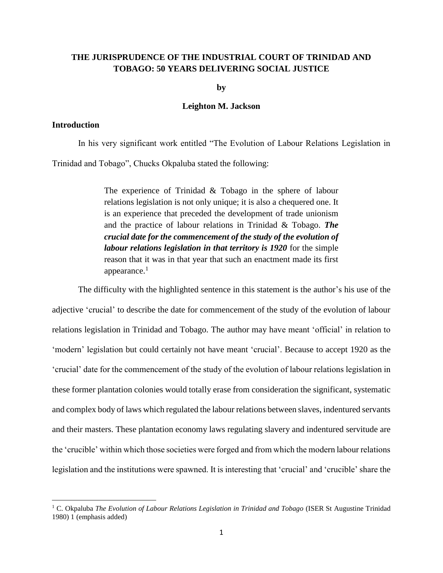# **THE JURISPRUDENCE OF THE INDUSTRIAL COURT OF TRINIDAD AND TOBAGO: 50 YEARS DELIVERING SOCIAL JUSTICE**

**by**

#### **Leighton M. Jackson**

## **Introduction**

 $\overline{\phantom{a}}$ 

In his very significant work entitled "The Evolution of Labour Relations Legislation in Trinidad and Tobago", Chucks Okpaluba stated the following:

> The experience of Trinidad & Tobago in the sphere of labour relations legislation is not only unique; it is also a chequered one. It is an experience that preceded the development of trade unionism and the practice of labour relations in Trinidad & Tobago. *The crucial date for the commencement of the study of the evolution of labour relations legislation in that territory is 1920* for the simple reason that it was in that year that such an enactment made its first appearance.<sup>1</sup>

The difficulty with the highlighted sentence in this statement is the author's his use of the adjective 'crucial' to describe the date for commencement of the study of the evolution of labour relations legislation in Trinidad and Tobago. The author may have meant 'official' in relation to 'modern' legislation but could certainly not have meant 'crucial'. Because to accept 1920 as the 'crucial' date for the commencement of the study of the evolution of labour relations legislation in these former plantation colonies would totally erase from consideration the significant, systematic and complex body of laws which regulated the labour relations between slaves, indentured servants and their masters. These plantation economy laws regulating slavery and indentured servitude are the 'crucible' within which those societies were forged and from which the modern labour relations legislation and the institutions were spawned. It is interesting that 'crucial' and 'crucible' share the

<sup>1</sup> C. Okpaluba *The Evolution of Labour Relations Legislation in Trinidad and Tobago* (ISER St Augustine Trinidad 1980) 1 (emphasis added)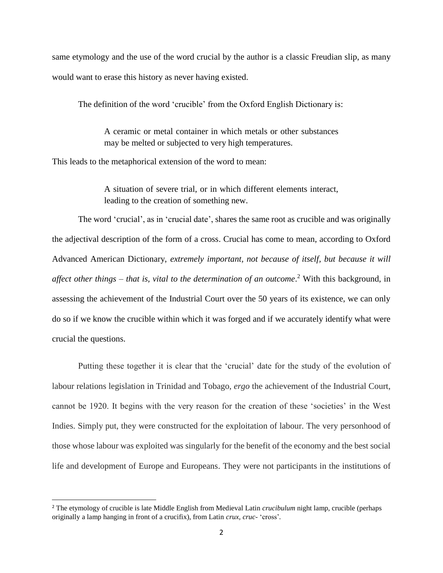same etymology and the use of the word crucial by the author is a classic Freudian slip, as many would want to erase this history as never having existed.

The definition of the word 'crucible' from the Oxford English Dictionary is:

A ceramic or metal container in which metals or other substances may be melted or subjected to very high temperatures.

This leads to the metaphorical extension of the word to mean:

A situation of severe trial, or in which different elements interact, leading to the creation of something new.

The word 'crucial', as in 'crucial date', shares the same root as crucible and was originally the adjectival description of the form of a cross. Crucial has come to mean, according to Oxford Advanced American Dictionary, *extremely important, not because of itself, but because it will affect other things – that is, vital to the determination of an outcome*. <sup>2</sup> With this background, in assessing the achievement of the Industrial Court over the 50 years of its existence, we can only do so if we know the crucible within which it was forged and if we accurately identify what were crucial the questions.

Putting these together it is clear that the 'crucial' date for the study of the evolution of labour relations legislation in Trinidad and Tobago, *ergo* the achievement of the Industrial Court, cannot be 1920. It begins with the very reason for the creation of these 'societies' in the West Indies. Simply put, they were constructed for the exploitation of labour. The very personhood of those whose labour was exploited was singularly for the benefit of the economy and the best social life and development of Europe and Europeans. They were not participants in the institutions of

l

<sup>2</sup> The etymology of crucible is late Middle English from Medieval Latin *crucibulum* night lamp, crucible (perhaps originally a lamp hanging in front of a crucifix), from Latin *crux, cruc-* 'cross'*.*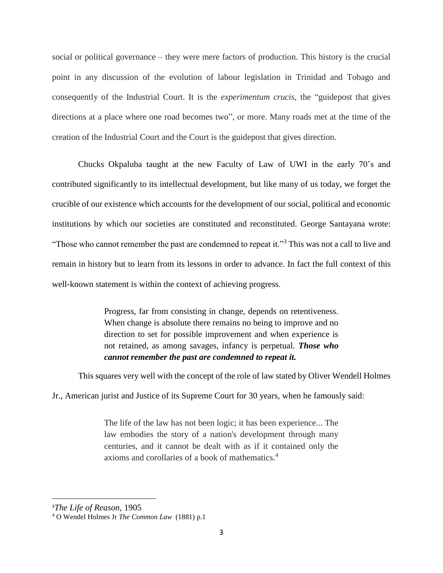social or political governance – they were mere factors of production. This history is the crucial point in any discussion of the evolution of labour legislation in Trinidad and Tobago and consequently of the Industrial Court. It is the *experimentum crucis*, the "guidepost that gives directions at a place where one road becomes two", or more. Many roads met at the time of the creation of the Industrial Court and the Court is the guidepost that gives direction.

Chucks Okpaluba taught at the new Faculty of Law of UWI in the early 70's and contributed significantly to its intellectual development, but like many of us today, we forget the crucible of our existence which accounts for the development of our social, political and economic institutions by which our societies are constituted and reconstituted. George Santayana wrote: "Those who cannot remember the past are condemned to repeat it."<sup>3</sup> This was not a call to live and remain in history but to learn from its lessons in order to advance. In fact the full context of this well-known statement is within the context of achieving progress.

> Progress, far from consisting in change, depends on retentiveness. When change is absolute there remains no being to improve and no direction to set for possible improvement and when experience is not retained, as among savages, infancy is perpetual. *Those who cannot remember the past are condemned to repeat it.*

This squares very well with the concept of the role of law stated by Oliver Wendell Holmes

Jr., American jurist and Justice of its Supreme Court for 30 years, when he famously said:

The life of the law has not been logic; it has been experience... The law embodies the story of a nation's development through many centuries, and it cannot be dealt with as if it contained only the axioms and corollaries of a book of mathematics.<sup>4</sup>

<sup>3</sup>*The Life of Reason*, 1905

<sup>4</sup> O Wendel Holmes Jr *The Common Law* (1881) p.1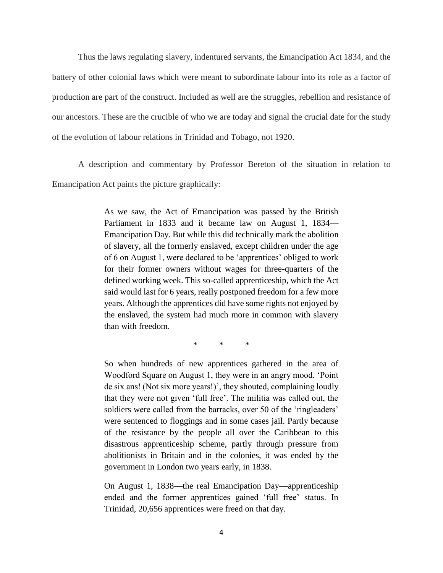Thus the laws regulating slavery, indentured servants, the Emancipation Act 1834, and the battery of other colonial laws which were meant to subordinate labour into its role as a factor of production are part of the construct. Included as well are the struggles, rebellion and resistance of our ancestors. These are the crucible of who we are today and signal the crucial date for the study of the evolution of labour relations in Trinidad and Tobago, not 1920.

A description and commentary by Professor Bereton of the situation in relation to Emancipation Act paints the picture graphically:

> As we saw, the Act of Emancipation was passed by the British Parliament in 1833 and it became law on August 1, 1834— Emancipation Day. But while this did technically mark the abolition of slavery, all the formerly enslaved, except children under the age of 6 on August 1, were declared to be 'apprentices' obliged to work for their former owners without wages for three-quarters of the defined working week. This so-called apprenticeship, which the Act said would last for 6 years, really postponed freedom for a few more years. Although the apprentices did have some rights not enjoyed by the enslaved, the system had much more in common with slavery than with freedom.

> > \* \* \*

So when hundreds of new apprentices gathered in the area of Woodford Square on August 1, they were in an angry mood. 'Point de six ans! (Not six more years!)', they shouted, complaining loudly that they were not given 'full free'. The militia was called out, the soldiers were called from the barracks, over 50 of the 'ringleaders' were sentenced to floggings and in some cases jail. Partly because of the resistance by the people all over the Caribbean to this disastrous apprenticeship scheme, partly through pressure from abolitionists in Britain and in the colonies, it was ended by the government in London two years early, in 1838.

On August 1, 1838—the real Emancipation Day—apprenticeship ended and the former apprentices gained 'full free' status. In Trinidad, 20,656 apprentices were freed on that day.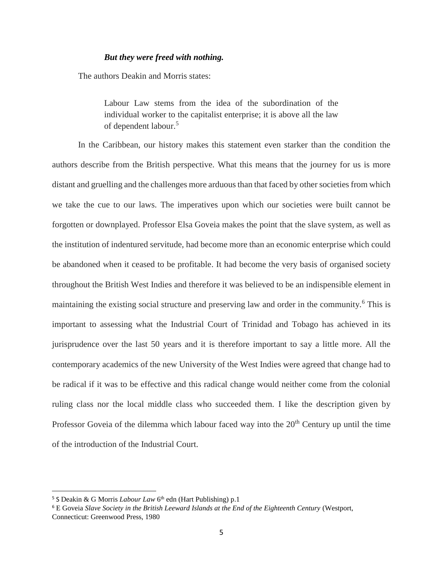### *But they were freed with nothing.*

The authors Deakin and Morris states:

Labour Law stems from the idea of the subordination of the individual worker to the capitalist enterprise; it is above all the law of dependent labour.<sup>5</sup>

In the Caribbean, our history makes this statement even starker than the condition the authors describe from the British perspective. What this means that the journey for us is more distant and gruelling and the challenges more arduous than that faced by other societies from which we take the cue to our laws. The imperatives upon which our societies were built cannot be forgotten or downplayed. Professor Elsa Goveia makes the point that the slave system, as well as the institution of indentured servitude, had become more than an economic enterprise which could be abandoned when it ceased to be profitable. It had become the very basis of organised society throughout the British West Indies and therefore it was believed to be an indispensible element in maintaining the existing social structure and preserving law and order in the community.<sup>6</sup> This is important to assessing what the Industrial Court of Trinidad and Tobago has achieved in its jurisprudence over the last 50 years and it is therefore important to say a little more. All the contemporary academics of the new University of the West Indies were agreed that change had to be radical if it was to be effective and this radical change would neither come from the colonial ruling class nor the local middle class who succeeded them. I like the description given by Professor Goveia of the dilemma which labour faced way into the  $20<sup>th</sup>$  Century up until the time of the introduction of the Industrial Court.

<sup>&</sup>lt;sup>5</sup> S Deakin & G Morris *Labour Law* 6<sup>th</sup> edn (Hart Publishing) p.1

<sup>6</sup> E Goveia *Slave Society in the British Leeward Islands at the End of the Eighteenth Century* (Westport, Connecticut: Greenwood Press, 1980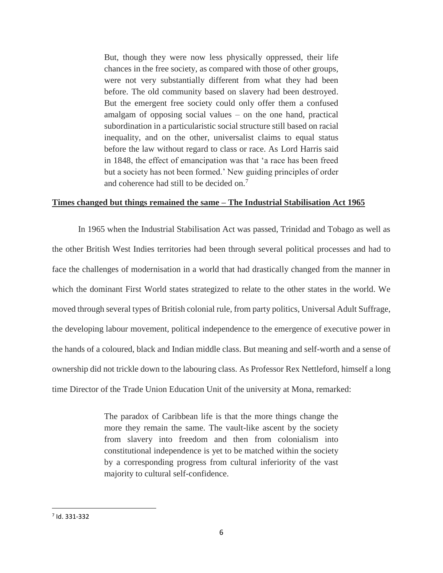But, though they were now less physically oppressed, their life chances in the free society, as compared with those of other groups, were not very substantially different from what they had been before. The old community based on slavery had been destroyed. But the emergent free society could only offer them a confused amalgam of opposing social values – on the one hand, practical subordination in a particularistic social structure still based on racial inequality, and on the other, universalist claims to equal status before the law without regard to class or race. As Lord Harris said in 1848, the effect of emancipation was that 'a race has been freed but a society has not been formed.' New guiding principles of order and coherence had still to be decided on.<sup>7</sup>

### **Times changed but things remained the same – The Industrial Stabilisation Act 1965**

In 1965 when the Industrial Stabilisation Act was passed, Trinidad and Tobago as well as the other British West Indies territories had been through several political processes and had to face the challenges of modernisation in a world that had drastically changed from the manner in which the dominant First World states strategized to relate to the other states in the world. We moved through several types of British colonial rule, from party politics, Universal Adult Suffrage, the developing labour movement, political independence to the emergence of executive power in the hands of a coloured, black and Indian middle class. But meaning and self-worth and a sense of ownership did not trickle down to the labouring class. As Professor Rex Nettleford, himself a long time Director of the Trade Union Education Unit of the university at Mona, remarked:

> The paradox of Caribbean life is that the more things change the more they remain the same. The vault-like ascent by the society from slavery into freedom and then from colonialism into constitutional independence is yet to be matched within the society by a corresponding progress from cultural inferiority of the vast majority to cultural self-confidence.

<sup>7</sup> Id. 331-332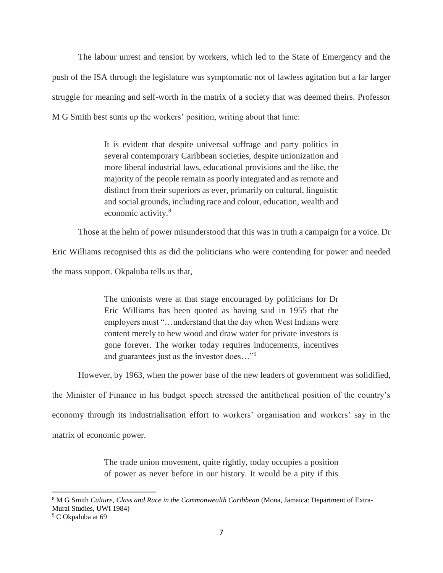The labour unrest and tension by workers, which led to the State of Emergency and the push of the ISA through the legislature was symptomatic not of lawless agitation but a far larger struggle for meaning and self-worth in the matrix of a society that was deemed theirs. Professor M G Smith best sums up the workers' position, writing about that time:

> It is evident that despite universal suffrage and party politics in several contemporary Caribbean societies, despite unionization and more liberal industrial laws, educational provisions and the like, the majority of the people remain as poorly integrated and as remote and distinct from their superiors as ever, primarily on cultural, linguistic and social grounds, including race and colour, education, wealth and economic activity.<sup>8</sup>

Those at the helm of power misunderstood that this was in truth a campaign for a voice. Dr

Eric Williams recognised this as did the politicians who were contending for power and needed

the mass support. Okpaluba tells us that,

The unionists were at that stage encouraged by politicians for Dr Eric Williams has been quoted as having said in 1955 that the employers must "…understand that the day when West Indians were content merely to hew wood and draw water for private investors is gone forever. The worker today requires inducements, incentives and guarantees just as the investor does…"<sup>9</sup>

However, by 1963, when the power base of the new leaders of government was solidified,

the Minister of Finance in his budget speech stressed the antithetical position of the country's economy through its industrialisation effort to workers' organisation and workers' say in the matrix of economic power.

> The trade union movement, quite rightly, today occupies a position of power as never before in our history. It would be a pity if this

<sup>8</sup> M G Smith *Culture, Class and Race in the Commonwealth Caribbean* (Mona, Jamaica: Department of Extra-Mural Studies, UWI 1984)

<sup>&</sup>lt;sup>9</sup> C Okpaluba at 69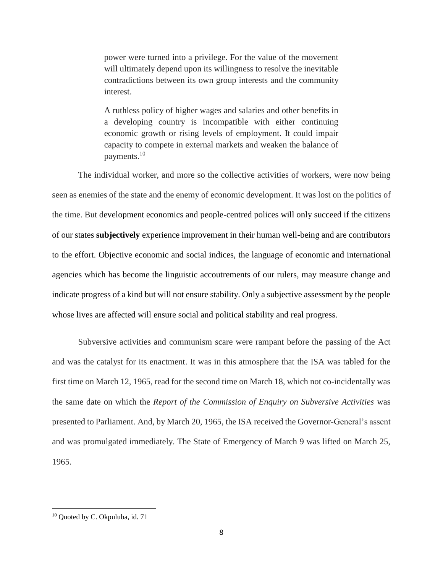power were turned into a privilege. For the value of the movement will ultimately depend upon its willingness to resolve the inevitable contradictions between its own group interests and the community interest.

A ruthless policy of higher wages and salaries and other benefits in a developing country is incompatible with either continuing economic growth or rising levels of employment. It could impair capacity to compete in external markets and weaken the balance of payments.<sup>10</sup>

The individual worker, and more so the collective activities of workers, were now being seen as enemies of the state and the enemy of economic development. It was lost on the politics of the time. But development economics and people-centred polices will only succeed if the citizens of our states **subjectively** experience improvement in their human well-being and are contributors to the effort. Objective economic and social indices, the language of economic and international agencies which has become the linguistic accoutrements of our rulers, may measure change and indicate progress of a kind but will not ensure stability. Only a subjective assessment by the people whose lives are affected will ensure social and political stability and real progress.

Subversive activities and communism scare were rampant before the passing of the Act and was the catalyst for its enactment. It was in this atmosphere that the ISA was tabled for the first time on March 12, 1965, read for the second time on March 18, which not co-incidentally was the same date on which the *Report of the Commission of Enquiry on Subversive Activities* was presented to Parliament. And, by March 20, 1965, the ISA received the Governor-General's assent and was promulgated immediately. The State of Emergency of March 9 was lifted on March 25, 1965.

<sup>&</sup>lt;sup>10</sup> Quoted by C. Okpuluba, id. 71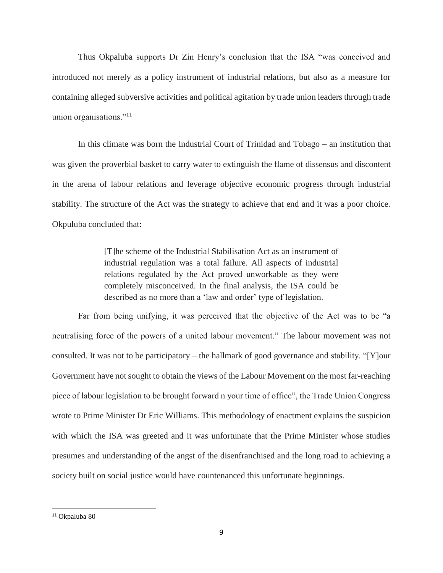Thus Okpaluba supports Dr Zin Henry's conclusion that the ISA "was conceived and introduced not merely as a policy instrument of industrial relations, but also as a measure for containing alleged subversive activities and political agitation by trade union leaders through trade union organisations."<sup>11</sup>

In this climate was born the Industrial Court of Trinidad and Tobago – an institution that was given the proverbial basket to carry water to extinguish the flame of dissensus and discontent in the arena of labour relations and leverage objective economic progress through industrial stability. The structure of the Act was the strategy to achieve that end and it was a poor choice. Okpuluba concluded that:

> [T]he scheme of the Industrial Stabilisation Act as an instrument of industrial regulation was a total failure. All aspects of industrial relations regulated by the Act proved unworkable as they were completely misconceived. In the final analysis, the ISA could be described as no more than a 'law and order' type of legislation.

Far from being unifying, it was perceived that the objective of the Act was to be "a neutralising force of the powers of a united labour movement." The labour movement was not consulted. It was not to be participatory – the hallmark of good governance and stability. "[Y]our Government have not sought to obtain the views of the Labour Movement on the most far-reaching piece of labour legislation to be brought forward n your time of office", the Trade Union Congress wrote to Prime Minister Dr Eric Williams. This methodology of enactment explains the suspicion with which the ISA was greeted and it was unfortunate that the Prime Minister whose studies presumes and understanding of the angst of the disenfranchised and the long road to achieving a society built on social justice would have countenanced this unfortunate beginnings.

<sup>11</sup> Okpaluba 80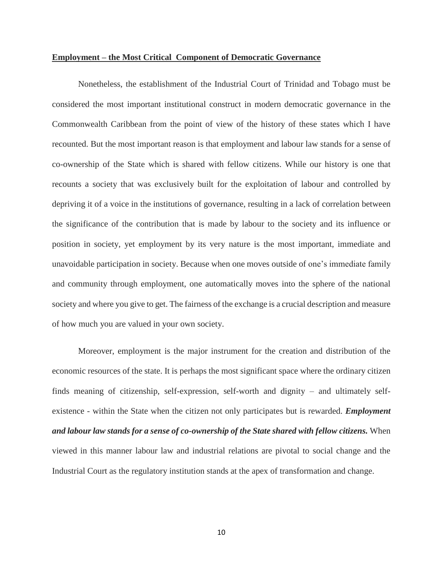#### **Employment – the Most Critical Component of Democratic Governance**

Nonetheless, the establishment of the Industrial Court of Trinidad and Tobago must be considered the most important institutional construct in modern democratic governance in the Commonwealth Caribbean from the point of view of the history of these states which I have recounted. But the most important reason is that employment and labour law stands for a sense of co-ownership of the State which is shared with fellow citizens. While our history is one that recounts a society that was exclusively built for the exploitation of labour and controlled by depriving it of a voice in the institutions of governance, resulting in a lack of correlation between the significance of the contribution that is made by labour to the society and its influence or position in society, yet employment by its very nature is the most important, immediate and unavoidable participation in society. Because when one moves outside of one's immediate family and community through employment, one automatically moves into the sphere of the national society and where you give to get. The fairness of the exchange is a crucial description and measure of how much you are valued in your own society.

Moreover, employment is the major instrument for the creation and distribution of the economic resources of the state. It is perhaps the most significant space where the ordinary citizen finds meaning of citizenship, self-expression, self-worth and dignity – and ultimately selfexistence - within the State when the citizen not only participates but is rewarded. *Employment and labour law stands for a sense of co-ownership of the State shared with fellow citizens.* When viewed in this manner labour law and industrial relations are pivotal to social change and the Industrial Court as the regulatory institution stands at the apex of transformation and change.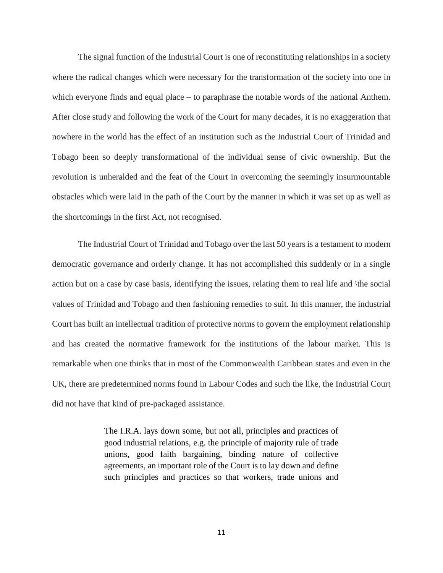The signal function of the Industrial Court is one of reconstituting relationships in a society where the radical changes which were necessary for the transformation of the society into one in which everyone finds and equal place – to paraphrase the notable words of the national Anthem. After close study and following the work of the Court for many decades, it is no exaggeration that nowhere in the world has the effect of an institution such as the Industrial Court of Trinidad and Tobago been so deeply transformational of the individual sense of civic ownership. But the revolution is unheralded and the feat of the Court in overcoming the seemingly insurmountable obstacles which were laid in the path of the Court by the manner in which it was set up as well as the shortcomings in the first Act, not recognised.

The Industrial Court of Trinidad and Tobago over the last 50 years is a testament to modern democratic governance and orderly change. It has not accomplished this suddenly or in a single action but on a case by case basis, identifying the issues, relating them to real life and \the social values of Trinidad and Tobago and then fashioning remedies to suit. In this manner, the industrial Court has built an intellectual tradition of protective norms to govern the employment relationship and has created the normative framework for the institutions of the labour market. This is remarkable when one thinks that in most of the Commonwealth Caribbean states and even in the UK, there are predetermined norms found in Labour Codes and such the like, the Industrial Court did not have that kind of pre-packaged assistance.

> The I.R.A. lays down some, but not all, principles and practices of good industrial relations, e.g. the principle of majority rule of trade unions, good faith bargaining, binding nature of collective agreements, an important role of the Court is to lay down and define such principles and practices so that workers, trade unions and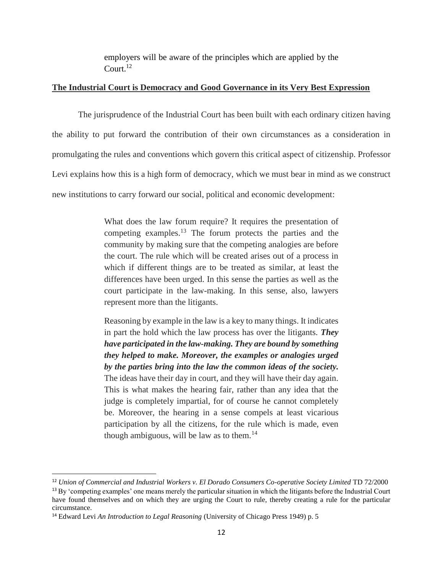employers will be aware of the principles which are applied by the Court.<sup>12</sup>

### **The Industrial Court is Democracy and Good Governance in its Very Best Expression**

The jurisprudence of the Industrial Court has been built with each ordinary citizen having the ability to put forward the contribution of their own circumstances as a consideration in promulgating the rules and conventions which govern this critical aspect of citizenship. Professor Levi explains how this is a high form of democracy, which we must bear in mind as we construct new institutions to carry forward our social, political and economic development:

> What does the law forum require? It requires the presentation of competing examples.<sup>13</sup> The forum protects the parties and the community by making sure that the competing analogies are before the court. The rule which will be created arises out of a process in which if different things are to be treated as similar, at least the differences have been urged. In this sense the parties as well as the court participate in the law-making. In this sense, also, lawyers represent more than the litigants.

> Reasoning by example in the law is a key to many things. It indicates in part the hold which the law process has over the litigants. *They have participated in the law-making. They are bound by something they helped to make. Moreover, the examples or analogies urged by the parties bring into the law the common ideas of the society.* The ideas have their day in court, and they will have their day again. This is what makes the hearing fair, rather than any idea that the judge is completely impartial, for of course he cannot completely be. Moreover, the hearing in a sense compels at least vicarious participation by all the citizens, for the rule which is made, even though ambiguous, will be law as to them.<sup>14</sup>

l

<sup>12</sup> *Union of Commercial and Industrial Workers v. El Dorado Consumers Co-operative Society Limited* TD 72/2000

 $13\,\text{By'}$  competing examples' one means merely the particular situation in which the litigants before the Industrial Court have found themselves and on which they are urging the Court to rule, thereby creating a rule for the particular circumstance.

<sup>14</sup> Edward Levi *An Introduction to Legal Reasoning* (University of Chicago Press 1949) p. 5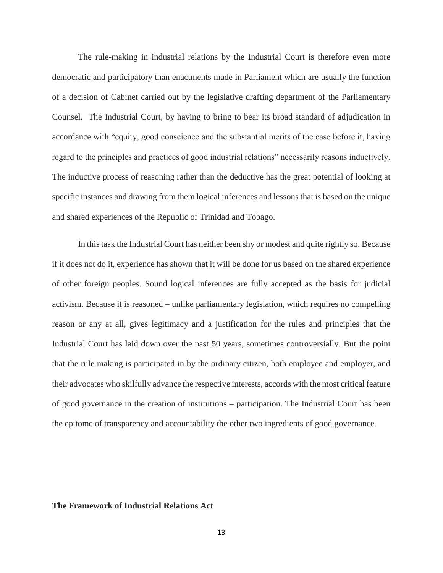The rule-making in industrial relations by the Industrial Court is therefore even more democratic and participatory than enactments made in Parliament which are usually the function of a decision of Cabinet carried out by the legislative drafting department of the Parliamentary Counsel. The Industrial Court, by having to bring to bear its broad standard of adjudication in accordance with "equity, good conscience and the substantial merits of the case before it, having regard to the principles and practices of good industrial relations" necessarily reasons inductively. The inductive process of reasoning rather than the deductive has the great potential of looking at specific instances and drawing from them logical inferences and lessons that is based on the unique and shared experiences of the Republic of Trinidad and Tobago.

In this task the Industrial Court has neither been shy or modest and quite rightly so. Because if it does not do it, experience has shown that it will be done for us based on the shared experience of other foreign peoples. Sound logical inferences are fully accepted as the basis for judicial activism. Because it is reasoned – unlike parliamentary legislation, which requires no compelling reason or any at all, gives legitimacy and a justification for the rules and principles that the Industrial Court has laid down over the past 50 years, sometimes controversially. But the point that the rule making is participated in by the ordinary citizen, both employee and employer, and their advocates who skilfully advance the respective interests, accords with the most critical feature of good governance in the creation of institutions – participation. The Industrial Court has been the epitome of transparency and accountability the other two ingredients of good governance.

### **The Framework of Industrial Relations Act**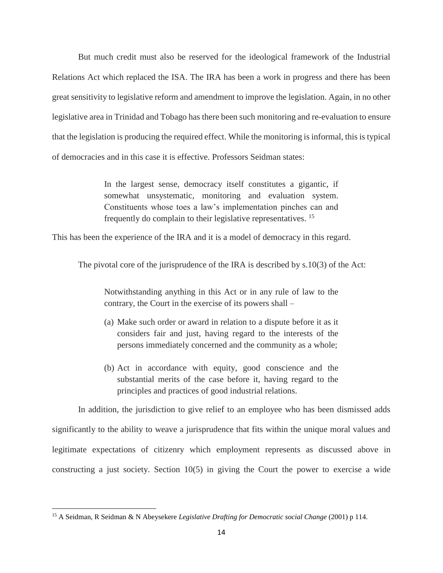But much credit must also be reserved for the ideological framework of the Industrial Relations Act which replaced the ISA. The IRA has been a work in progress and there has been great sensitivity to legislative reform and amendment to improve the legislation. Again, in no other legislative area in Trinidad and Tobago has there been such monitoring and re-evaluation to ensure that the legislation is producing the required effect. While the monitoring is informal, this is typical of democracies and in this case it is effective. Professors Seidman states:

> In the largest sense, democracy itself constitutes a gigantic, if somewhat unsystematic, monitoring and evaluation system. Constituents whose toes a law's implementation pinches can and frequently do complain to their legislative representatives. <sup>15</sup>

This has been the experience of the IRA and it is a model of democracy in this regard.

The pivotal core of the jurisprudence of the IRA is described by s.10(3) of the Act:

Notwithstanding anything in this Act or in any rule of law to the contrary, the Court in the exercise of its powers shall –

- (a) Make such order or award in relation to a dispute before it as it considers fair and just, having regard to the interests of the persons immediately concerned and the community as a whole;
- (b) Act in accordance with equity, good conscience and the substantial merits of the case before it, having regard to the principles and practices of good industrial relations.

In addition, the jurisdiction to give relief to an employee who has been dismissed adds significantly to the ability to weave a jurisprudence that fits within the unique moral values and legitimate expectations of citizenry which employment represents as discussed above in constructing a just society. Section 10(5) in giving the Court the power to exercise a wide

<sup>15</sup> A Seidman, R Seidman & N Abeysekere *Legislative Drafting for Democratic social Change* (2001) p 114.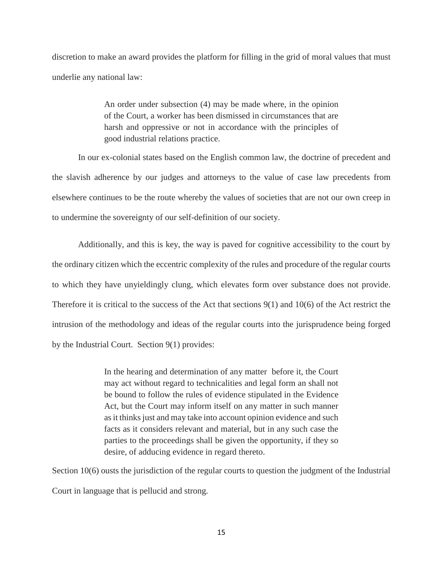discretion to make an award provides the platform for filling in the grid of moral values that must underlie any national law:

> An order under subsection (4) may be made where, in the opinion of the Court, a worker has been dismissed in circumstances that are harsh and oppressive or not in accordance with the principles of good industrial relations practice.

In our ex-colonial states based on the English common law, the doctrine of precedent and the slavish adherence by our judges and attorneys to the value of case law precedents from elsewhere continues to be the route whereby the values of societies that are not our own creep in to undermine the sovereignty of our self-definition of our society.

Additionally, and this is key, the way is paved for cognitive accessibility to the court by the ordinary citizen which the eccentric complexity of the rules and procedure of the regular courts to which they have unyieldingly clung, which elevates form over substance does not provide. Therefore it is critical to the success of the Act that sections 9(1) and 10(6) of the Act restrict the intrusion of the methodology and ideas of the regular courts into the jurisprudence being forged by the Industrial Court. Section 9(1) provides:

> In the hearing and determination of any matter before it, the Court may act without regard to technicalities and legal form an shall not be bound to follow the rules of evidence stipulated in the Evidence Act, but the Court may inform itself on any matter in such manner as it thinks just and may take into account opinion evidence and such facts as it considers relevant and material, but in any such case the parties to the proceedings shall be given the opportunity, if they so desire, of adducing evidence in regard thereto.

Section 10(6) ousts the jurisdiction of the regular courts to question the judgment of the Industrial Court in language that is pellucid and strong.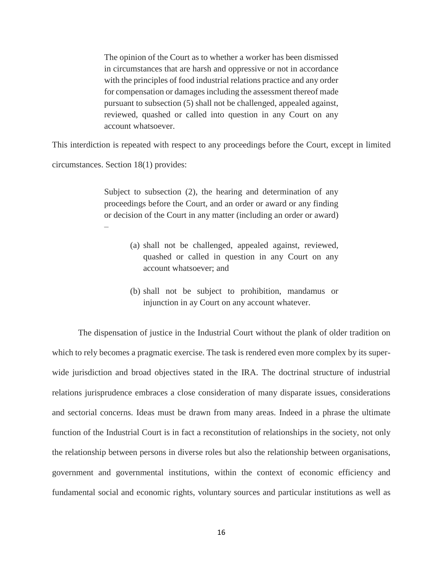The opinion of the Court as to whether a worker has been dismissed in circumstances that are harsh and oppressive or not in accordance with the principles of food industrial relations practice and any order for compensation or damages including the assessment thereof made pursuant to subsection (5) shall not be challenged, appealed against, reviewed, quashed or called into question in any Court on any account whatsoever.

This interdiction is repeated with respect to any proceedings before the Court, except in limited

circumstances. Section 18(1) provides:

Subject to subsection (2), the hearing and determination of any proceedings before the Court, and an order or award or any finding or decision of the Court in any matter (including an order or award) –

- (a) shall not be challenged, appealed against, reviewed, quashed or called in question in any Court on any account whatsoever; and
- (b) shall not be subject to prohibition, mandamus or injunction in ay Court on any account whatever.

The dispensation of justice in the Industrial Court without the plank of older tradition on which to rely becomes a pragmatic exercise. The task is rendered even more complex by its superwide jurisdiction and broad objectives stated in the IRA. The doctrinal structure of industrial relations jurisprudence embraces a close consideration of many disparate issues, considerations and sectorial concerns. Ideas must be drawn from many areas. Indeed in a phrase the ultimate function of the Industrial Court is in fact a reconstitution of relationships in the society, not only the relationship between persons in diverse roles but also the relationship between organisations, government and governmental institutions, within the context of economic efficiency and fundamental social and economic rights, voluntary sources and particular institutions as well as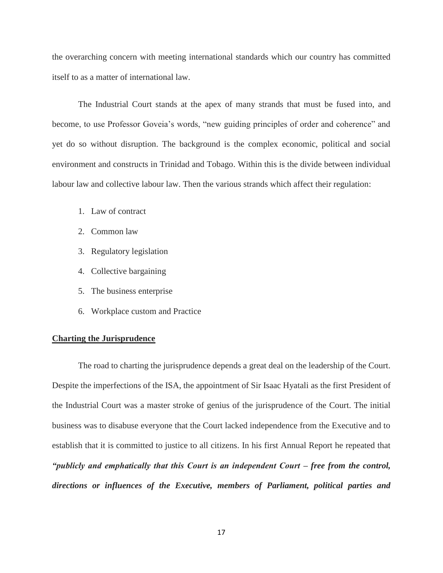the overarching concern with meeting international standards which our country has committed itself to as a matter of international law.

The Industrial Court stands at the apex of many strands that must be fused into, and become, to use Professor Goveia's words, "new guiding principles of order and coherence" and yet do so without disruption. The background is the complex economic, political and social environment and constructs in Trinidad and Tobago. Within this is the divide between individual labour law and collective labour law. Then the various strands which affect their regulation:

- 1. Law of contract
- 2. Common law
- 3. Regulatory legislation
- 4. Collective bargaining
- 5. The business enterprise
- 6. Workplace custom and Practice

### **Charting the Jurisprudence**

The road to charting the jurisprudence depends a great deal on the leadership of the Court. Despite the imperfections of the ISA, the appointment of Sir Isaac Hyatali as the first President of the Industrial Court was a master stroke of genius of the jurisprudence of the Court. The initial business was to disabuse everyone that the Court lacked independence from the Executive and to establish that it is committed to justice to all citizens. In his first Annual Report he repeated that *"publicly and emphatically that this Court is an independent Court – free from the control, directions or influences of the Executive, members of Parliament, political parties and*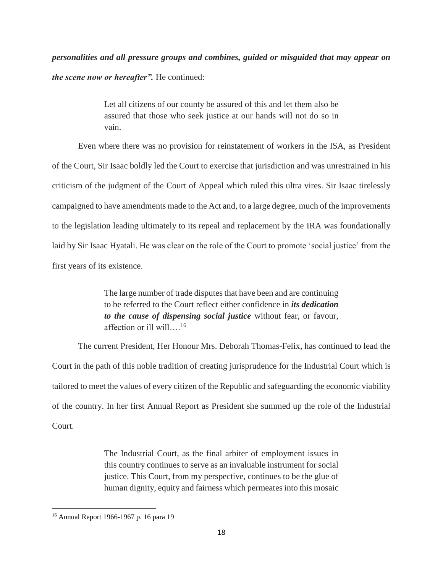*personalities and all pressure groups and combines, guided or misguided that may appear on the scene now or hereafter".* He continued:

> Let all citizens of our county be assured of this and let them also be assured that those who seek justice at our hands will not do so in vain.

Even where there was no provision for reinstatement of workers in the ISA, as President of the Court, Sir Isaac boldly led the Court to exercise that jurisdiction and was unrestrained in his criticism of the judgment of the Court of Appeal which ruled this ultra vires. Sir Isaac tirelessly campaigned to have amendments made to the Act and, to a large degree, much of the improvements to the legislation leading ultimately to its repeal and replacement by the IRA was foundationally laid by Sir Isaac Hyatali. He was clear on the role of the Court to promote 'social justice' from the first years of its existence.

> The large number of trade disputes that have been and are continuing to be referred to the Court reflect either confidence in *its dedication to the cause of dispensing social justice* without fear, or favour, affection or ill will….<sup>16</sup>

The current President, Her Honour Mrs. Deborah Thomas-Felix, has continued to lead the Court in the path of this noble tradition of creating jurisprudence for the Industrial Court which is tailored to meet the values of every citizen of the Republic and safeguarding the economic viability of the country. In her first Annual Report as President she summed up the role of the Industrial Court.

> The Industrial Court, as the final arbiter of employment issues in this country continues to serve as an invaluable instrument for social justice. This Court, from my perspective, continues to be the glue of human dignity, equity and fairness which permeates into this mosaic

<sup>16</sup> Annual Report 1966-1967 p. 16 para 19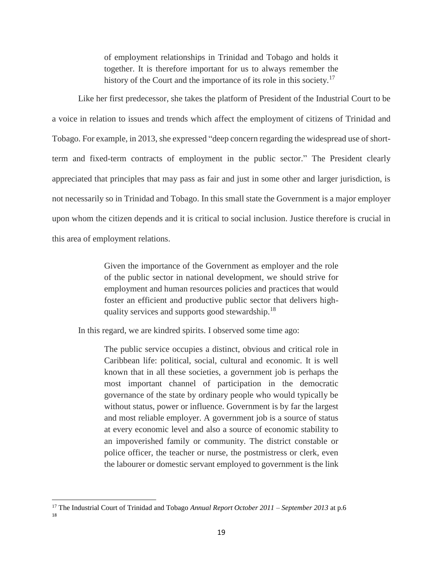of employment relationships in Trinidad and Tobago and holds it together. It is therefore important for us to always remember the history of the Court and the importance of its role in this society.<sup>17</sup>

Like her first predecessor, she takes the platform of President of the Industrial Court to be a voice in relation to issues and trends which affect the employment of citizens of Trinidad and Tobago. For example, in 2013, she expressed "deep concern regarding the widespread use of shortterm and fixed-term contracts of employment in the public sector." The President clearly appreciated that principles that may pass as fair and just in some other and larger jurisdiction, is not necessarily so in Trinidad and Tobago. In this small state the Government is a major employer upon whom the citizen depends and it is critical to social inclusion. Justice therefore is crucial in this area of employment relations.

> Given the importance of the Government as employer and the role of the public sector in national development, we should strive for employment and human resources policies and practices that would foster an efficient and productive public sector that delivers highquality services and supports good stewardship.<sup>18</sup>

In this regard, we are kindred spirits. I observed some time ago:

The public service occupies a distinct, obvious and critical role in Caribbean life: political, social, cultural and economic. It is well known that in all these societies, a government job is perhaps the most important channel of participation in the democratic governance of the state by ordinary people who would typically be without status, power or influence. Government is by far the largest and most reliable employer. A government job is a source of status at every economic level and also a source of economic stability to an impoverished family or community. The district constable or police officer, the teacher or nurse, the postmistress or clerk, even the labourer or domestic servant employed to government is the link

l

<sup>17</sup> The Industrial Court of Trinidad and Tobago *Annual Report October 2011 – September 2013* at p.6 18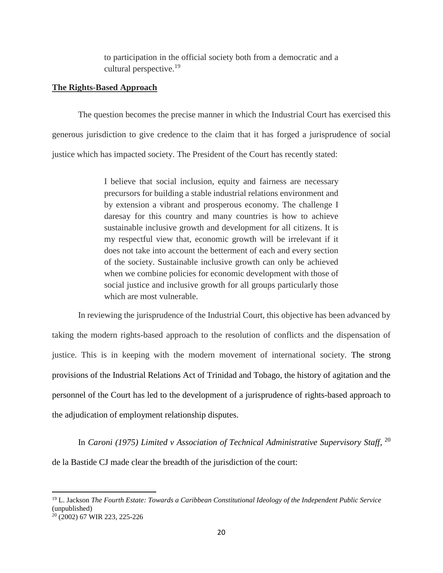to participation in the official society both from a democratic and a cultural perspective.<sup>19</sup>

### **The Rights-Based Approach**

The question becomes the precise manner in which the Industrial Court has exercised this generous jurisdiction to give credence to the claim that it has forged a jurisprudence of social justice which has impacted society. The President of the Court has recently stated:

> I believe that social inclusion, equity and fairness are necessary precursors for building a stable industrial relations environment and by extension a vibrant and prosperous economy. The challenge I daresay for this country and many countries is how to achieve sustainable inclusive growth and development for all citizens. It is my respectful view that, economic growth will be irrelevant if it does not take into account the betterment of each and every section of the society. Sustainable inclusive growth can only be achieved when we combine policies for economic development with those of social justice and inclusive growth for all groups particularly those which are most vulnerable.

In reviewing the jurisprudence of the Industrial Court, this objective has been advanced by taking the modern rights-based approach to the resolution of conflicts and the dispensation of justice. This is in keeping with the modern movement of international society. The strong provisions of the Industrial Relations Act of Trinidad and Tobago, the history of agitation and the personnel of the Court has led to the development of a jurisprudence of rights-based approach to the adjudication of employment relationship disputes.

In *Caroni (1975) Limited v Association of Technical Administrative Supervisory Staff*, 20 de la Bastide CJ made clear the breadth of the jurisdiction of the court:

<sup>19</sup> L. Jackson *The Fourth Estate: Towards a Caribbean Constitutional Ideology of the Independent Public Service*  (unpublished)

<sup>20</sup> (2002) 67 WIR 223, 225-226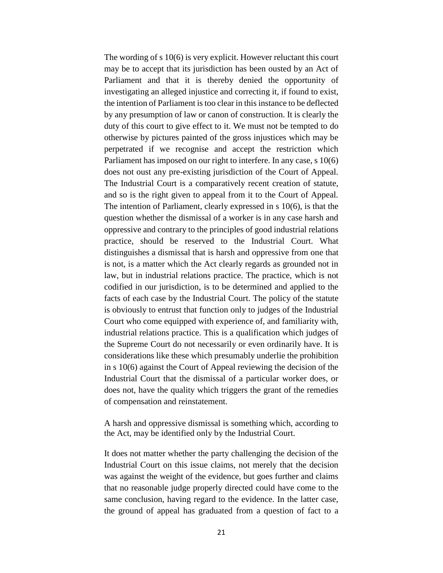The wording of s 10(6) is very explicit. However reluctant this court may be to accept that its jurisdiction has been ousted by an Act of Parliament and that it is thereby denied the opportunity of investigating an alleged injustice and correcting it, if found to exist, the intention of Parliament is too clear in this instance to be deflected by any presumption of law or canon of construction. It is clearly the duty of this court to give effect to it. We must not be tempted to do otherwise by pictures painted of the gross injustices which may be perpetrated if we recognise and accept the restriction which Parliament has imposed on our right to interfere. In any case, s 10(6) does not oust any pre-existing jurisdiction of the Court of Appeal. The Industrial Court is a comparatively recent creation of statute, and so is the right given to appeal from it to the Court of Appeal. The intention of Parliament, clearly expressed in s 10(6), is that the question whether the dismissal of a worker is in any case harsh and oppressive and contrary to the principles of good industrial relations practice, should be reserved to the Industrial Court. What distinguishes a dismissal that is harsh and oppressive from one that is not, is a matter which the Act clearly regards as grounded not in law, but in industrial relations practice. The practice, which is not codified in our jurisdiction, is to be determined and applied to the facts of each case by the Industrial Court. The policy of the statute is obviously to entrust that function only to judges of the Industrial Court who come equipped with experience of, and familiarity with, industrial relations practice. This is a qualification which judges of the Supreme Court do not necessarily or even ordinarily have. It is considerations like these which presumably underlie the prohibition in s 10(6) against the Court of Appeal reviewing the decision of the Industrial Court that the dismissal of a particular worker does, or does not, have the quality which triggers the grant of the remedies of compensation and reinstatement.

A harsh and oppressive dismissal is something which, according to the Act, may be identified only by the Industrial Court.

It does not matter whether the party challenging the decision of the Industrial Court on this issue claims, not merely that the decision was against the weight of the evidence, but goes further and claims that no reasonable judge properly directed could have come to the same conclusion, having regard to the evidence. In the latter case, the ground of appeal has graduated from a question of fact to a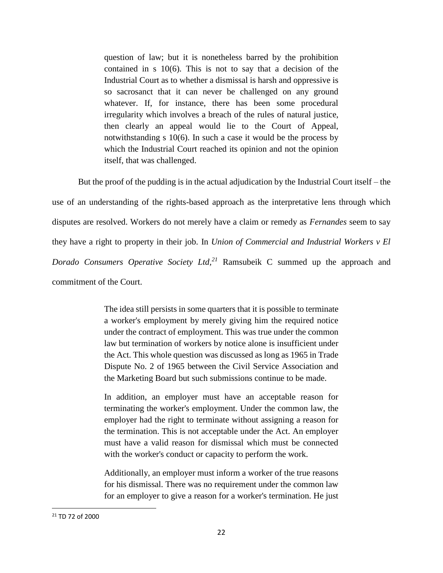question of law; but it is nonetheless barred by the prohibition contained in s 10(6). This is not to say that a decision of the Industrial Court as to whether a dismissal is harsh and oppressive is so sacrosanct that it can never be challenged on any ground whatever. If, for instance, there has been some procedural irregularity which involves a breach of the rules of natural justice, then clearly an appeal would lie to the Court of Appeal, notwithstanding s 10(6). In such a case it would be the process by which the Industrial Court reached its opinion and not the opinion itself, that was challenged.

But the proof of the pudding is in the actual adjudication by the Industrial Court itself – the use of an understanding of the rights-based approach as the interpretative lens through which disputes are resolved. Workers do not merely have a claim or remedy as *Fernandes* seem to say they have a right to property in their job. In *Union of Commercial and Industrial Workers v El Dorado Consumers Operative Society Ltd, <sup>21</sup>* Ramsubeik C summed up the approach and commitment of the Court.

> The idea still persists in some quarters that it is possible to terminate a worker's employment by merely giving him the required notice under the contract of employment. This was true under the common law but termination of workers by notice alone is insufficient under the Act. This whole question was discussed as long as 1965 in Trade Dispute No. 2 of 1965 between the Civil Service Association and the Marketing Board but such submissions continue to be made.

> In addition, an employer must have an acceptable reason for terminating the worker's employment. Under the common law, the employer had the right to terminate without assigning a reason for the termination. This is not acceptable under the Act. An employer must have a valid reason for dismissal which must be connected with the worker's conduct or capacity to perform the work.

> Additionally, an employer must inform a worker of the true reasons for his dismissal. There was no requirement under the common law for an employer to give a reason for a worker's termination. He just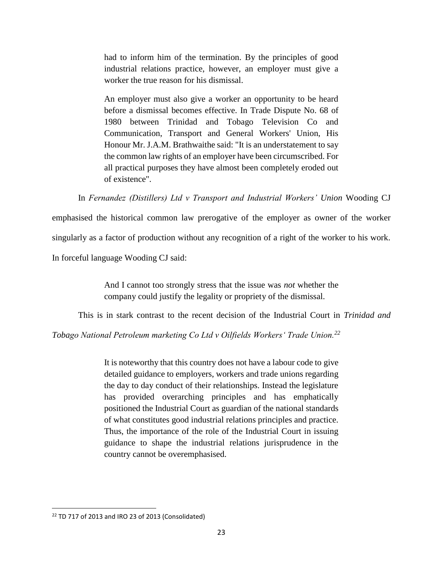had to inform him of the termination. By the principles of good industrial relations practice, however, an employer must give a worker the true reason for his dismissal.

An employer must also give a worker an opportunity to be heard before a dismissal becomes effective. In Trade Dispute No. 68 of 1980 between Trinidad and Tobago Television Co and Communication, Transport and General Workers' Union, His Honour Mr. J.A.M. Brathwaithe said: "It is an understatement to say the common law rights of an employer have been circumscribed. For all practical purposes they have almost been completely eroded out of existence".

In *Fernandez (Distillers) Ltd v Transport and Industrial Workers' Union* Wooding CJ

emphasised the historical common law prerogative of the employer as owner of the worker singularly as a factor of production without any recognition of a right of the worker to his work. In forceful language Wooding CJ said:

> And I cannot too strongly stress that the issue was *not* whether the company could justify the legality or propriety of the dismissal.

This is in stark contrast to the recent decision of the Industrial Court in *Trinidad and* 

*Tobago National Petroleum marketing Co Ltd v Oilfields Workers' Trade Union.<sup>22</sup>*

It is noteworthy that this country does not have a labour code to give detailed guidance to employers, workers and trade unions regarding the day to day conduct of their relationships. Instead the legislature has provided overarching principles and has emphatically positioned the Industrial Court as guardian of the national standards of what constitutes good industrial relations principles and practice. Thus, the importance of the role of the Industrial Court in issuing guidance to shape the industrial relations jurisprudence in the country cannot be overemphasised.

<sup>&</sup>lt;sup>22</sup> TD 717 of 2013 and IRO 23 of 2013 (Consolidated)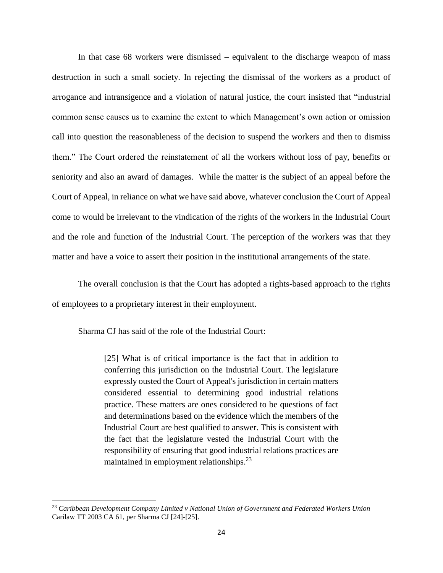In that case 68 workers were dismissed – equivalent to the discharge weapon of mass destruction in such a small society. In rejecting the dismissal of the workers as a product of arrogance and intransigence and a violation of natural justice, the court insisted that "industrial common sense causes us to examine the extent to which Management's own action or omission call into question the reasonableness of the decision to suspend the workers and then to dismiss them." The Court ordered the reinstatement of all the workers without loss of pay, benefits or seniority and also an award of damages. While the matter is the subject of an appeal before the Court of Appeal, in reliance on what we have said above, whatever conclusion the Court of Appeal come to would be irrelevant to the vindication of the rights of the workers in the Industrial Court and the role and function of the Industrial Court. The perception of the workers was that they matter and have a voice to assert their position in the institutional arrangements of the state.

The overall conclusion is that the Court has adopted a rights-based approach to the rights of employees to a proprietary interest in their employment.

Sharma CJ has said of the role of the Industrial Court:

 $\overline{\phantom{a}}$ 

[25] What is of critical importance is the fact that in addition to conferring this jurisdiction on the Industrial Court. The legislature expressly ousted the Court of Appeal's jurisdiction in certain matters considered essential to determining good industrial relations practice. These matters are ones considered to be questions of fact and determinations based on the evidence which the members of the Industrial Court are best qualified to answer. This is consistent with the fact that the legislature vested the Industrial Court with the responsibility of ensuring that good industrial relations practices are maintained in employment relationships.<sup>23</sup>

<sup>23</sup> *Caribbean Development Company Limited v National Union of Government and Federated Workers Union* Carilaw TT 2003 CA 61, per Sharma CJ [24]-[25].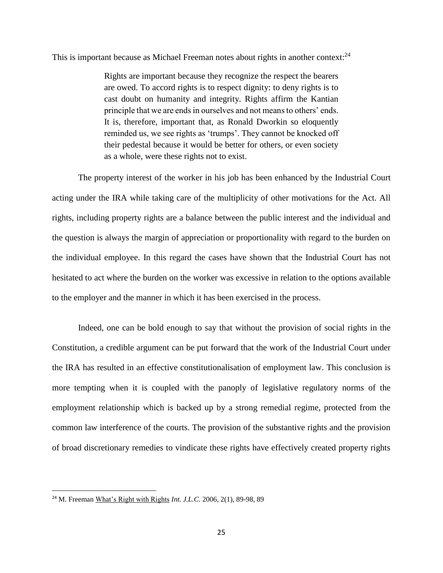This is important because as Michael Freeman notes about rights in another context: $^{24}$ 

Rights are important because they recognize the respect the bearers are owed. To accord rights is to respect dignity: to deny rights is to cast doubt on humanity and integrity. Rights affirm the Kantian principle that we are ends in ourselves and not means to others' ends. It is, therefore, important that, as Ronald Dworkin so eloquently reminded us, we see rights as 'trumps'. They cannot be knocked off their pedestal because it would be better for others, or even society as a whole, were these rights not to exist.

The property interest of the worker in his job has been enhanced by the Industrial Court acting under the IRA while taking care of the multiplicity of other motivations for the Act. All rights, including property rights are a balance between the public interest and the individual and the question is always the margin of appreciation or proportionality with regard to the burden on the individual employee. In this regard the cases have shown that the Industrial Court has not hesitated to act where the burden on the worker was excessive in relation to the options available to the employer and the manner in which it has been exercised in the process.

Indeed, one can be bold enough to say that without the provision of social rights in the Constitution, a credible argument can be put forward that the work of the Industrial Court under the IRA has resulted in an effective constitutionalisation of employment law. This conclusion is more tempting when it is coupled with the panoply of legislative regulatory norms of the employment relationship which is backed up by a strong remedial regime, protected from the common law interference of the courts. The provision of the substantive rights and the provision of broad discretionary remedies to vindicate these rights have effectively created property rights

<sup>24</sup> M. Freeman What's Right with Rights *Int. J.L.C.* 2006, 2(1), 89-98, 89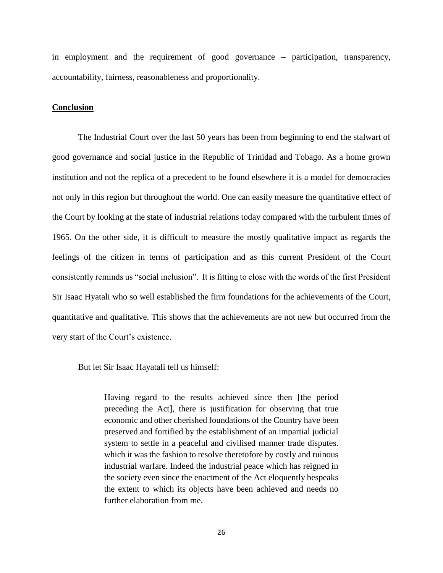in employment and the requirement of good governance – participation, transparency, accountability, fairness, reasonableness and proportionality.

### **Conclusion**

The Industrial Court over the last 50 years has been from beginning to end the stalwart of good governance and social justice in the Republic of Trinidad and Tobago. As a home grown institution and not the replica of a precedent to be found elsewhere it is a model for democracies not only in this region but throughout the world. One can easily measure the quantitative effect of the Court by looking at the state of industrial relations today compared with the turbulent times of 1965. On the other side, it is difficult to measure the mostly qualitative impact as regards the feelings of the citizen in terms of participation and as this current President of the Court consistently reminds us "social inclusion". It is fitting to close with the words of the first President Sir Isaac Hyatali who so well established the firm foundations for the achievements of the Court, quantitative and qualitative. This shows that the achievements are not new but occurred from the very start of the Court's existence.

But let Sir Isaac Hayatali tell us himself:

Having regard to the results achieved since then [the period preceding the Act], there is justification for observing that true economic and other cherished foundations of the Country have been preserved and fortified by the establishment of an impartial judicial system to settle in a peaceful and civilised manner trade disputes. which it was the fashion to resolve theretofore by costly and ruinous industrial warfare. Indeed the industrial peace which has reigned in the society even since the enactment of the Act eloquently bespeaks the extent to which its objects have been achieved and needs no further elaboration from me.